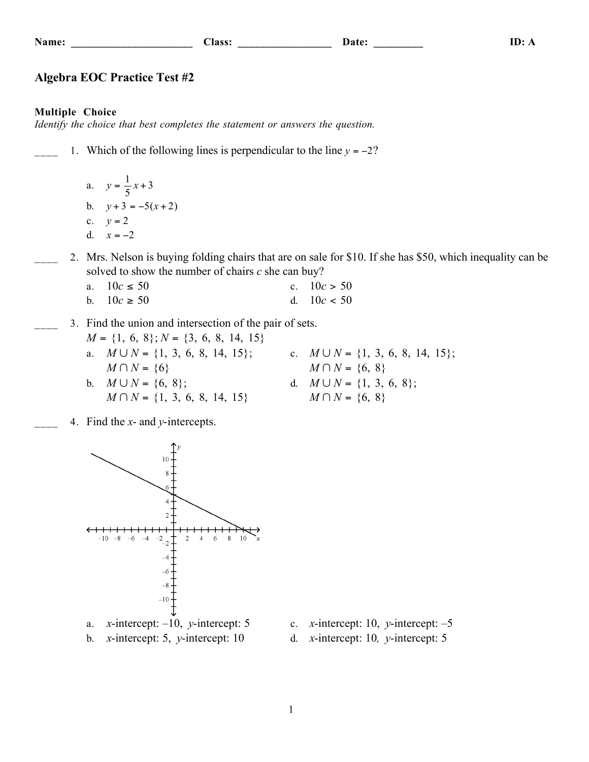**Name: \_\_\_\_\_\_\_\_\_\_\_\_\_\_\_\_\_\_\_\_\_\_ Class: \_\_\_\_\_\_\_\_\_\_\_\_\_\_\_\_\_ Date: \_\_\_\_\_\_\_\_\_ ID: A**

## **Algebra EOC Practice Test #2**

#### **Multiple Choice**

*Identify the choice that best completes the statement or answers the question.*

1. Which of the following lines is perpendicular to the line  $y = -2$ ?

a.  $y = \frac{1}{5}x + 3$ b.  $y+3 = -5(x+2)$ c.  $y = 2$ d.  $x = -2$ 

2. Mrs. Nelson is buying folding chairs that are on sale for \$10. If she has \$50, which inequality can be solved to show the number of chairs *c* she can buy?

| a. $10c \le 50$ | c. $10c > 50$ |
|-----------------|---------------|
| b. $10c \ge 50$ | d. $10c < 50$ |

#### 3. Find the union and intersection of the pair of sets. *M*  $(1, 6, 0)$  *M*  $(2, 6, 0, 14, 15)$

| $M = \{1, 6, 8\}; N = \{3, 6, 8, 14, 15\}$ |                                         |
|--------------------------------------------|-----------------------------------------|
| a. $M \cup N = \{1, 3, 6, 8, 14, 15\};$    | c. $M \cup N = \{1, 3, 6, 8, 14, 15\};$ |
| $M \cap N = \{6\}$                         | $M \cap N = \{6, 8\}$                   |
| b. $M \cup N = \{6, 8\}$ ;                 | d. $M \cup N = \{1, 3, 6, 8\};$         |
| $M \cap N = \{1, 3, 6, 8, 14, 15\}$        | $M \cap N = \{6, 8\}$                   |

\_\_\_\_ 4. Find the *x*- and *y*-intercepts.



- b. *x*-intercept: 5, *y*-intercept: 10 d. *x*-intercept: 10*, y*-intercept: 5
- -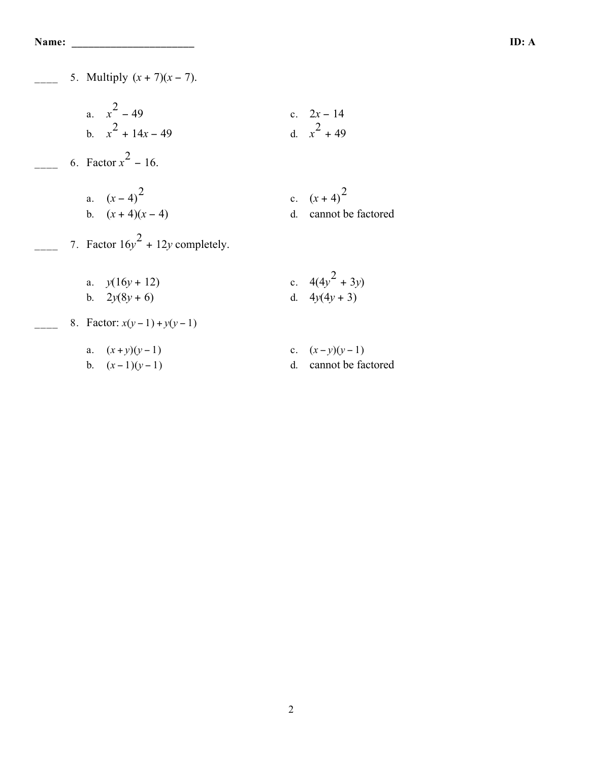5. Multiply  $(x + 7)(x - 7)$ . a.  $x^2 - 49$ c.  $2x - 14$ b.  $x^2 + 14x - 49$  d. *x*  $^{2}$  + 49  $-$  6. Factor  $x^2$  – 16. a.  $(x-4)^2$ c.  $(x+4)^2$ d. cannot be factored  $\frac{1}{2}$  7. Factor  $16y^2 + 12y$  completely. a.  $y(16y + 12)$ <br>
b.  $2y(8y + 6)$ <br>
c.  $4(4y^2 + 3)$ <br>
d.  $4y(4y + 3)$  $2^{2}$  + 3*y*) b.  $2y(8y+6)$ 8. Factor:  $x(y-1) + y(y-1)$ a.  $(x+y)(y-1)$  c.  $(x-y)(y-1)$ b.  $(x-1)(y-1)$  d. cannot be factored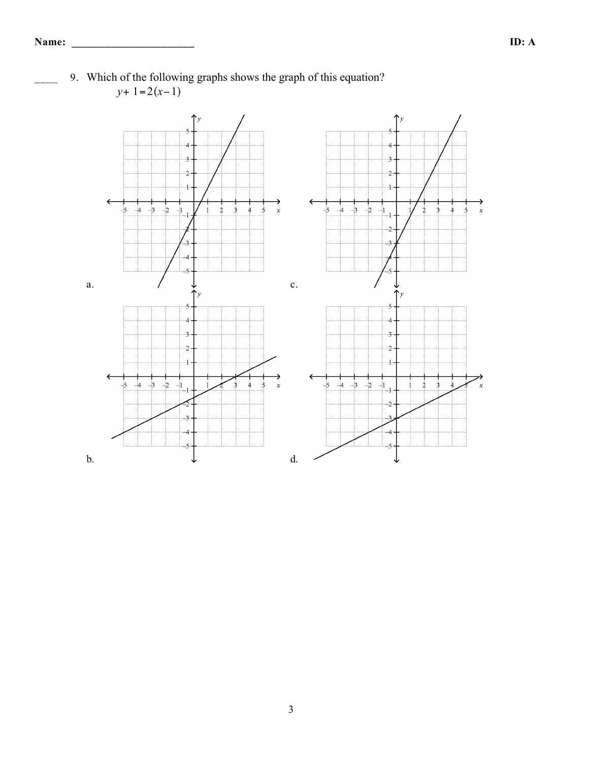

9. Which of the following graphs shows the graph of this equation? *y*+ 1=2(*x*−1)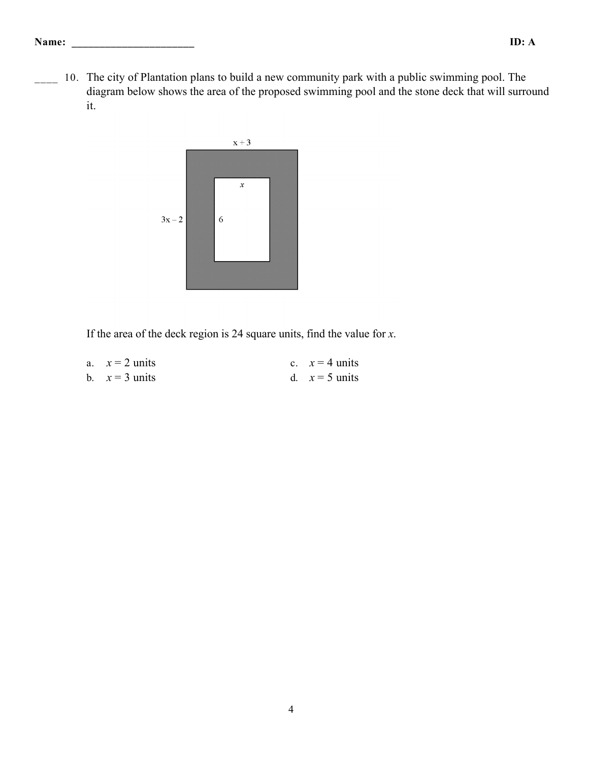- **Name: \_\_\_\_\_\_\_\_\_\_\_\_\_\_\_\_\_\_\_\_\_\_ ID: A**
	- 10. The city of Plantation plans to build a new community park with a public swimming pool. The diagram below shows the area of the proposed swimming pool and the stone deck that will surround it.



If the area of the deck region is 24 square units, find the value for *x*.

| a. $x = 2$ units | c. $x = 4$ units |
|------------------|------------------|
| b. $x = 3$ units | d. $x = 5$ units |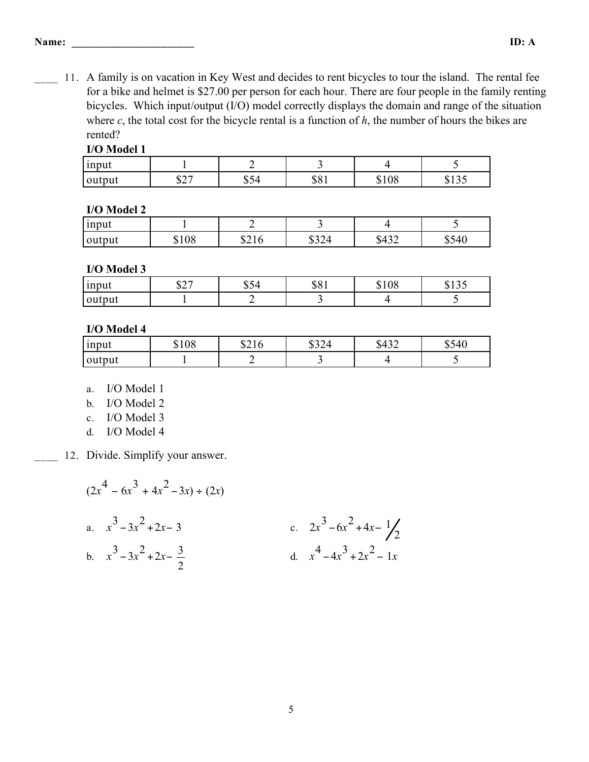11. A family is on vacation in Key West and decides to rent bicycles to tour the island. The rental fee for a bike and helmet is \$27.00 per person for each hour. There are four people in the family renting bicycles. Which input/output (I/O) model correctly displays the domain and range of the situation where *c*, the total cost for the bicycle rental is a function of *h*, the number of hours the bikes are rented?

### **I/O Model 1**

| <sub>1</sub> nput |             |                 | -             |       |                          |
|-------------------|-------------|-----------------|---------------|-------|--------------------------|
| <b>Couple</b>     | 027<br>، ڪھ | ₼<br>4ء<br>⊣ت ف | ሐ ∩ ∙<br>ມບ i | \$108 | $\sim$ $\sim$<br>ມ 1 ມ - |

### **I/O Model 2**

| <sub>1</sub> nput |     |      | - -               | –                           |                                   |
|-------------------|-----|------|-------------------|-----------------------------|-----------------------------------|
| output            | 108 | 021U | $\prime$<br>+∠ر ⊙ | $\Lambda$<br>₼<br>∼<br>⊍⊤⊃∠ | $\epsilon$ 40<br>៶∠∔<br>rv.<br>ັບ |

### **I/O Model 3**

| input  | $\bigwedge \bigwedge \bigwedge$<br>ا کھ | ₼<br>-<br>JJ4 | ሐሴ 1<br>DO 1 | \$108 | $\wedge$ 1 $\wedge$ $\sim$ |
|--------|-----------------------------------------|---------------|--------------|-------|----------------------------|
| output |                                         |               | $\sim$       |       |                            |

# **I/O Model 4**

| input  | <b>0100</b><br>91 U O | $\bigcap$ 1 $\bigcap$<br>54 I O | ሐኅ ለ 1<br>$\angle$<br>◡◡▱⊤ | $\Lambda$<br>94 J Z | \$540 |
|--------|-----------------------|---------------------------------|----------------------------|---------------------|-------|
| output |                       |                                 | ້                          |                     |       |

- a. I/O Model 1
- b. I/O Model 2
- c. I/O Model 3
- d. I/O Model 4
- 12. Divide. Simplify your answer.

$$
(2x4 - 6x3 + 4x2 - 3x) \div (2x)
$$
  
a.  $x3 - 3x2 + 2x - 3$   
b.  $x3 - 3x2 + 2x - \frac{3}{2}$   
c.  $2x3 - 6x2 + 4x - \frac{1}{2}$   
d.  $x4 - 4x3 + 2x2 - 1x$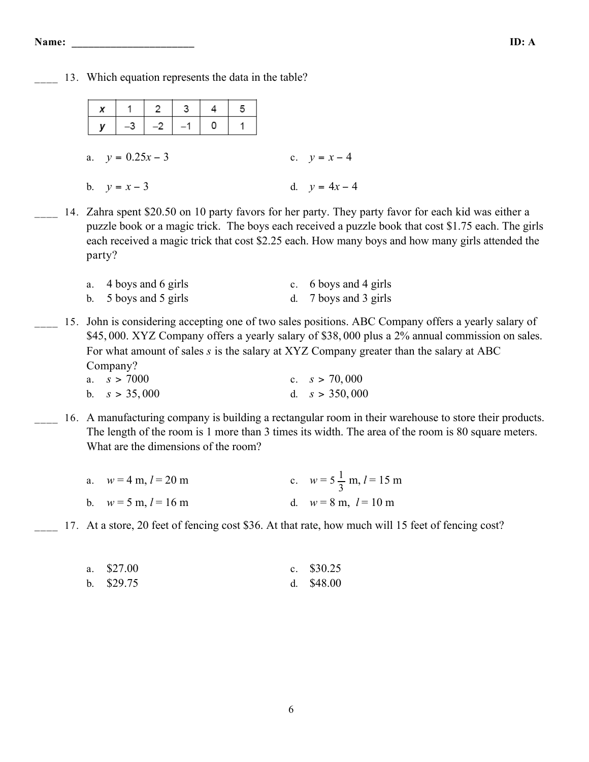13. Which equation represents the data in the table?

|                    |  |                |                                                                                             |  |  | 5         |                 |
|--------------------|--|----------------|---------------------------------------------------------------------------------------------|--|--|-----------|-----------------|
|                    |  |                | $\begin{array}{ c c c c c c }\hline x&1&2&3&4 \\ \hline y&-3&-2&-1&0 \\ \hline \end{array}$ |  |  | $\vert$ 1 |                 |
|                    |  |                |                                                                                             |  |  |           |                 |
| a. $y = 0.25x - 3$ |  |                |                                                                                             |  |  |           | c. $y = x - 4$  |
|                    |  |                |                                                                                             |  |  |           |                 |
|                    |  | b. $y = x - 3$ |                                                                                             |  |  |           | d. $y = 4x - 4$ |

14. Zahra spent \$20.50 on 10 party favors for her party. They party favor for each kid was either a puzzle book or a magic trick. The boys each received a puzzle book that cost \$1.75 each. The girls each received a magic trick that cost \$2.25 each. How many boys and how many girls attended the party?

| a. 4 boys and 6 girls                     | c. 6 boys and 4 girls |
|-------------------------------------------|-----------------------|
| b. $5 \text{ boys}$ and $5 \text{ girls}$ | d. 7 boys and 3 girls |

15. John is considering accepting one of two sales positions. ABC Company offers a yearly salary of \$45, 000. XYZ Company offers a yearly salary of \$38, 000 plus a 2% annual commission on sales. For what amount of sales *s* is the salary at XYZ Company greater than the salary at ABC Company?

| a. $s > 7000$   | c. $s > 70,000$  |
|-----------------|------------------|
| b. $s > 35,000$ | d. $s > 350,000$ |

16. A manufacturing company is building a rectangular room in their warehouse to store their products. The length of the room is 1 more than 3 times its width. The area of the room is 80 square meters. What are the dimensions of the room?

| a. $w = 4$ m, $l = 20$ m               | c. $w = 5\frac{1}{3}$ m, $l = 15$ m |
|----------------------------------------|-------------------------------------|
| b. $w = 5 \text{ m}, l = 16 \text{ m}$ | d. $w = 8$ m, $l = 10$ m            |

17. At a store, 20 feet of fencing cost \$36. At that rate, how much will 15 feet of fencing cost?

| a. \$27.00 | c. $$30.25$ |
|------------|-------------|
| b. \$29.75 | d. $$48.00$ |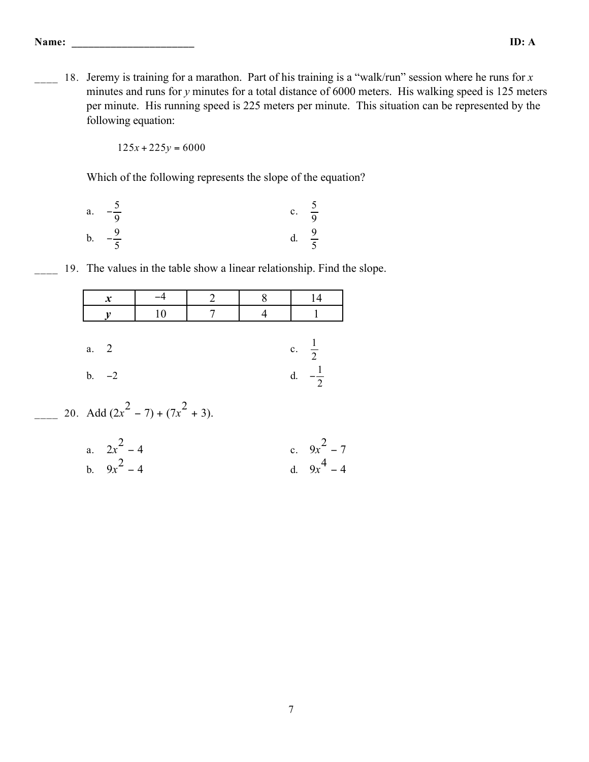18. Jeremy is training for a marathon. Part of his training is a "walk/run" session where he runs for *x* minutes and runs for *y* minutes for a total distance of 6000 meters. His walking speed is 125 meters per minute. His running speed is 225 meters per minute. This situation can be represented by the following equation:

 $125x + 225y = 6000$ 

Which of the following represents the slope of the equation?

| $a$ .         | $\overline{\phantom{0}}$<br>$\overline{q}$ | $\mathbf{c}$ . | $rac{5}{9}$ |
|---------------|--------------------------------------------|----------------|-------------|
| $\mathbf b$ . | $\overline{9}$                             | d.             | $rac{9}{5}$ |
|               | $\overline{5}$                             |                |             |

\_\_\_\_ 19. The values in the table show a linear relationship. Find the slope.

| $\boldsymbol{x}$                    |  |                  |  |
|-------------------------------------|--|------------------|--|
|                                     |  |                  |  |
|                                     |  |                  |  |
| a. 2                                |  | c. $\frac{1}{2}$ |  |
| $b. -2$                             |  | $\mathcal{D}$    |  |
| 20. Add $(2x^2 - 7) + (7x^2 + 3)$ . |  |                  |  |

a. 
$$
2x^2 - 4
$$
  
b.  $9x^2 - 4$   
c.  $9x^2 - 7$   
d.  $9x^4 - 4$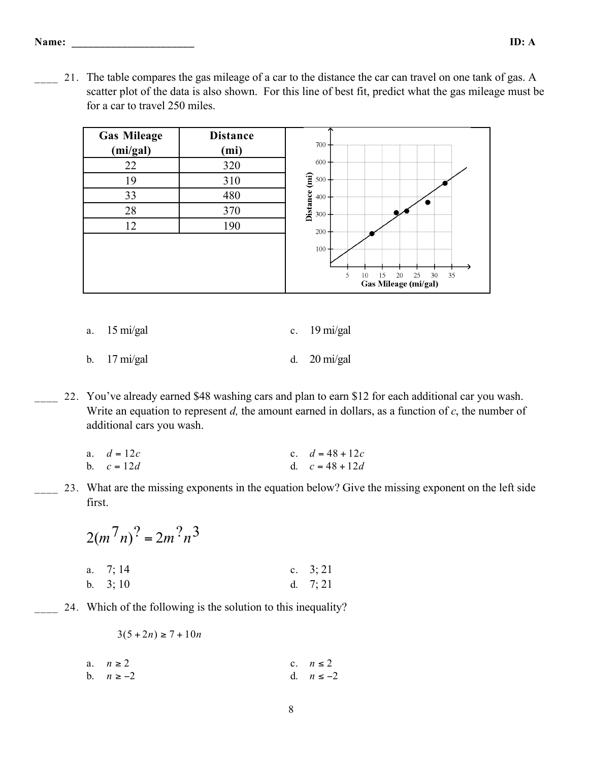21. The table compares the gas mileage of a car to the distance the car can travel on one tank of gas. A scatter plot of the data is also shown. For this line of best fit, predict what the gas mileage must be for a car to travel 250 miles.



|  | a. 15 mi/gal |  | c. $19 \text{ mi/gal}$ |
|--|--------------|--|------------------------|
|--|--------------|--|------------------------|

b. 17 mi/gal d. 20 mi/gal

\_\_\_\_ 22. You've already earned \$48 washing cars and plan to earn \$12 for each additional car you wash. Write an equation to represent *d,* the amount earned in dollars, as a function of *c*, the number of additional cars you wash.

| a. $d = 12c$ | c. $d = 48 + 12c$ |
|--------------|-------------------|
| b. $c = 12d$ | d. $c = 48 + 12d$ |

\_\_\_\_ 23. What are the missing exponents in the equation below? Give the missing exponent on the left side first.

$$
2(m7n)2 = 2m2n3
$$
  
a. 7; 14  
b. 3; 10  
c. 3; 21  
d. 7; 21

24. Which of the following is the solution to this inequality?

 $3(5 + 2n) \ge 7 + 10n$ 

a.  $n \ge 2$  c.  $n \le 2$ <br>b.  $n \ge -2$  d.  $n \le -2$ d. *n* ≤ −2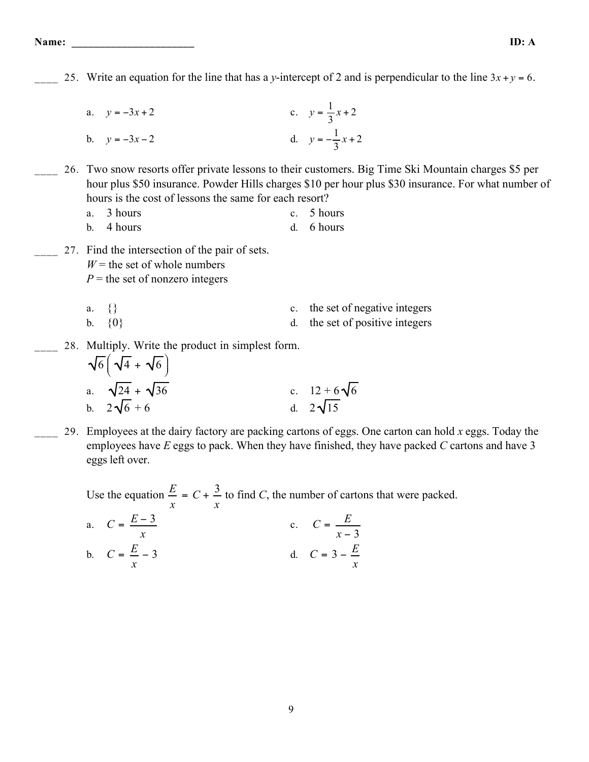25. Write an equation for the line that has a *y*-intercept of 2 and is perpendicular to the line  $3x + y = 6$ . a.  $y = -3x + 2$  c.  $y = \frac{1}{3}x + 2$ b.  $y = -3x - 2$  d.  $y = -\frac{1}{3}x + 2$ \_\_\_\_ 26. Two snow resorts offer private lessons to their customers. Big Time Ski Mountain charges \$5 per hour plus \$50 insurance. Powder Hills charges \$10 per hour plus \$30 insurance. For what number of hours is the cost of lessons the same for each resort? a. 3 hours c. 5 hours b. 4 hours d. 6 hours \_\_\_\_ 27. Find the intersection of the pair of sets.  $W =$  the set of whole numbers  $P =$  the set of nonzero integers a.  $\{\}$  c. the set of negative integers b.  $\{0\}$  d. the set of positive integers 28. Multiply. Write the product in simplest form.  $\sqrt{6}$   $\sqrt{4} + \sqrt{6}$  $\left(\sqrt{4}+\sqrt{6}\right)$  $\left( \begin{array}{c} 1 \\ 1 \\ 1 \end{array} \right)$ 

a. 
$$
\sqrt{24} + \sqrt{36}
$$
  
b.  $2\sqrt{6} + 6$   
c.  $12 + 6\sqrt{6}$   
d.  $2\sqrt{15}$ 

\_\_\_\_ 29. Employees at the dairy factory are packing cartons of eggs. One carton can hold *x* eggs. Today the employees have *E* eggs to pack. When they have finished, they have packed *C* cartons and have 3 eggs left over.

Use the equation  $\frac{E}{x} = C + \frac{3}{x}$ *x* to find *C*, the number of cartons that were packed.

a. 
$$
C = \frac{E-3}{x}
$$
  
b.  $C = \frac{E}{x} - 3$   
c.  $C = \frac{E}{x-3}$   
d.  $C = 3 - \frac{E}{x}$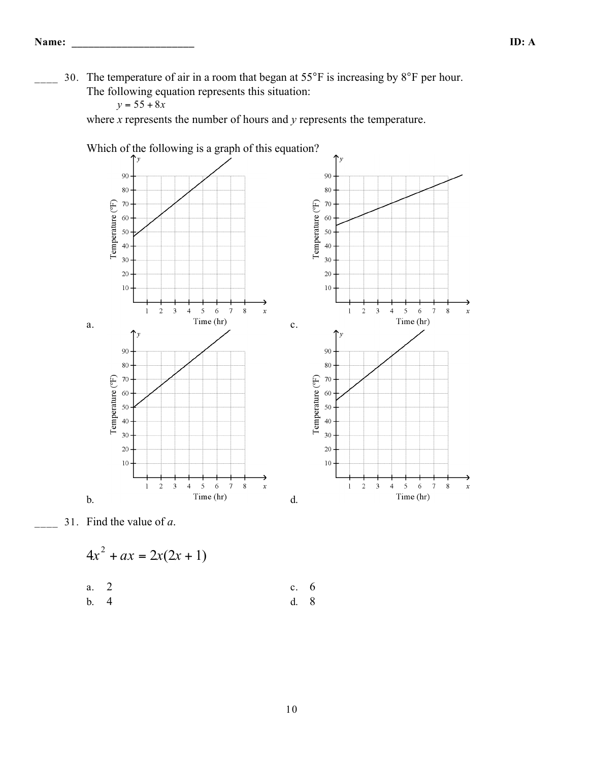30. The temperature of air in a room that began at 55°F is increasing by 8°F per hour. The following equation represents this situation:

 $y = 55 + 8x$ 

where *x* represents the number of hours and *y* represents the temperature.



\_\_\_\_ 31. Find the value of *a*.

$$
4x^2 + ax = 2x(2x + 1)
$$

a. 2 c. 6

b. 4 d. 8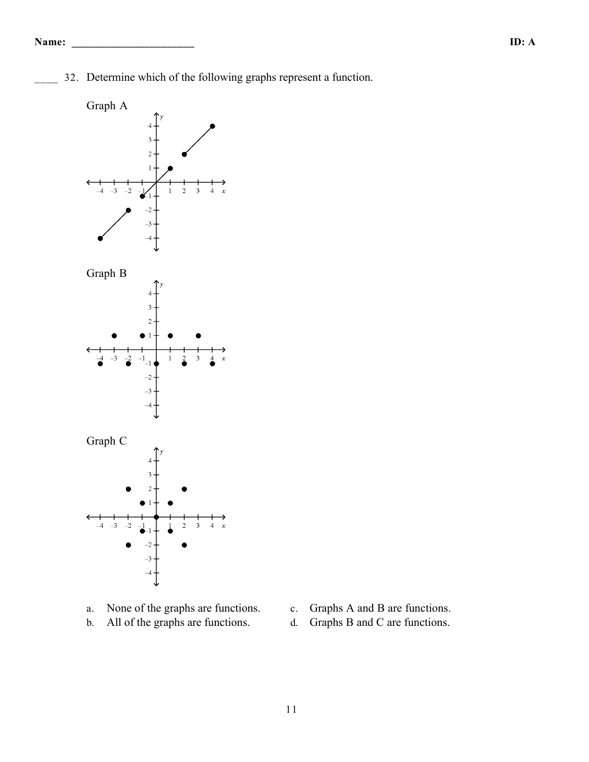\_\_\_\_ 32. Determine which of the following graphs represent a function.



- a. None of the graphs are functions. c. Graphs A and B are functions.
- b. All of the graphs are functions. d. Graphs B and C are functions.
- -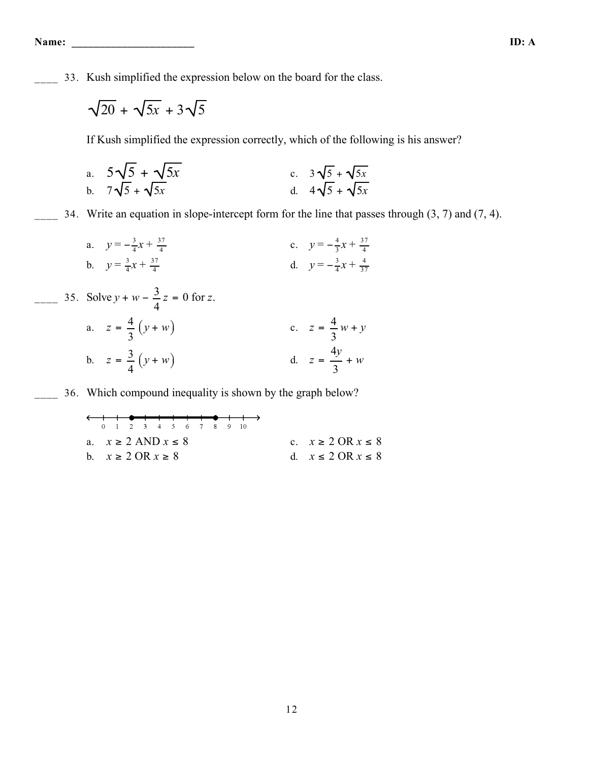\_\_\_\_ 33. Kush simplified the expression below on the board for the class.

$$
\sqrt{20} + \sqrt{5x} + 3\sqrt{5}
$$

If Kush simplified the expression correctly, which of the following is his answer?

a. 
$$
5\sqrt{5} + \sqrt{5x}
$$
  
b.  $7\sqrt{5} + \sqrt{5x}$   
c.  $3\sqrt{5} + \sqrt{5x}$   
d.  $4\sqrt{5} + \sqrt{5x}$ 

 $\frac{1}{2}$  34. Write an equation in slope-intercept form for the line that passes through (3, 7) and (7, 4).

a. 
$$
y = -\frac{3}{4}x + \frac{37}{4}
$$
  
b.  $y = \frac{3}{4}x + \frac{37}{4}$   
c.  $y = -\frac{4}{3}x + \frac{37}{4}$   
d.  $y = -\frac{3}{4}x + \frac{4}{37}$ 

35. Solve 
$$
y + w - \frac{3}{4}z = 0
$$
 for z.  
\na.  $z = \frac{4}{3}(y + w)$   
\nb.  $z = \frac{3}{4}(y + w)$   
\nc.  $z = \frac{4}{3}w + y$   
\nd.  $z = \frac{4y}{3} + w$ 

\_\_\_\_ 36. Which compound inequality is shown by the graph below?

| $x \ge 2$ AND $x \le 8$ | $x \ge 2$ OR $x \ge 8$ | $x \ge 2$ OR $x \ge 8$ | $x \ge 2$ OR $x \ge 8$ | $x \le 2$ OR $x \le 8$ |
|-------------------------|------------------------|------------------------|------------------------|------------------------|
|-------------------------|------------------------|------------------------|------------------------|------------------------|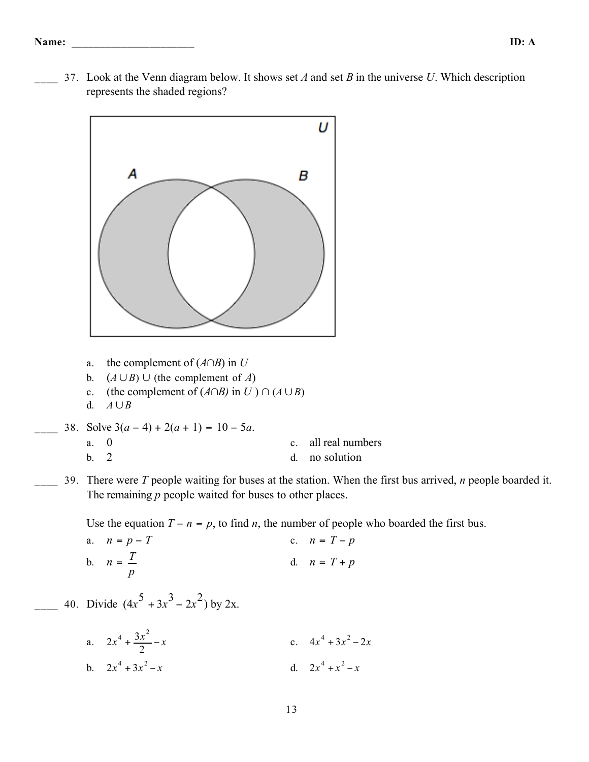\_\_\_\_ 37. Look at the Venn diagram below. It shows set *A* and set *B* in the universe *U*. Which description represents the shaded regions?



38. Solve  $3(a-4) + 2(a+1) = 10 - 5a$ .

\_\_\_\_ 40. Divide (4*x*

| a. 0        |  | c. all real numbers |
|-------------|--|---------------------|
| $b \quad 2$ |  | d. no solution      |

\_\_\_\_ 39. There were *T* people waiting for buses at the station. When the first bus arrived, *n* people boarded it. The remaining *p* people waited for buses to other places.

Use the equation  $T - n = p$ , to find *n*, the number of people who boarded the first bus.

a. 
$$
n = p - T
$$
  
\nb.  $n = \frac{T}{p}$   
\nc.  $n = T - p$   
\nd.  $n = T + p$   
\nDivide  $(4x^5 + 3x^3 - 2x^2)$  by 2x.

a. 
$$
2x^4 + \frac{3x^2}{2} - x
$$
  
\nb.  $2x^4 + 3x^2 - x$   
\nc.  $4x^4 + 3x^2 - 2x$   
\nd.  $2x^4 + x^2 - x$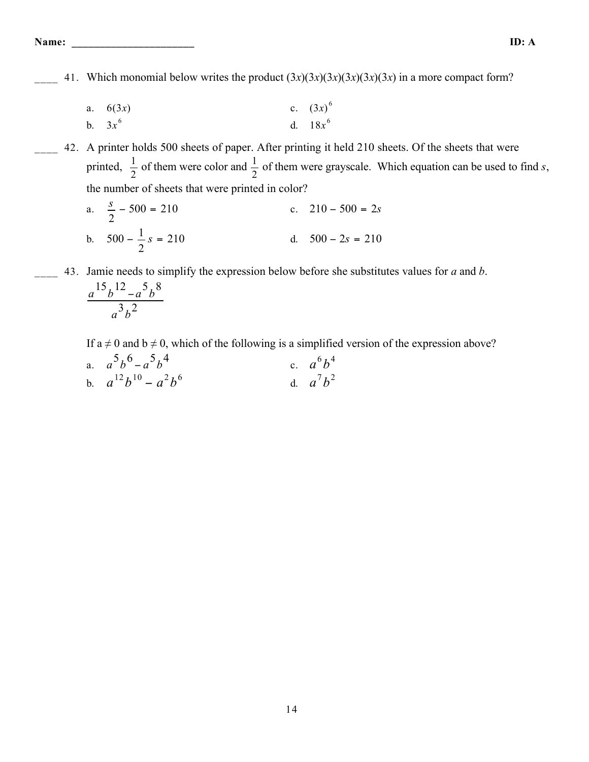**Name: \_\_\_\_\_\_\_\_\_\_\_\_\_\_\_\_\_\_\_\_\_\_ ID: A**

41. Which monomial below writes the product  $(3x)(3x)(3x)(3x)(3x)(3x)$  in a more compact form?

a. 
$$
6(3x)
$$
  
b.  $3x^6$   
c.  $(3x)^6$   
d.  $18x^6$ 

- \_\_\_\_ 42. A printer holds 500 sheets of paper. After printing it held 210 sheets. Of the sheets that were printed,  $\frac{1}{2}$  of them were color and  $\frac{1}{2}$  of them were grayscale. Which equation can be used to find *s*, the number of sheets that were printed in color?
	- a.  $\frac{s}{2} 500 = 210$  c.  $210 500 = 2s$ b.  $500 - \frac{1}{2}$ 2 d.  $500 - 2s = 210$
- \_\_\_\_ 43. Jamie needs to simplify the expression below before she substitutes values for *a* and *b*.

$$
\frac{a^{15}b^{12}-a^{5}b^{8}}{a^{3}b^{2}}
$$

If  $a \neq 0$  and  $b \neq 0$ , which of the following is a simplified version of the expression above?

| a. $a^5b^6 - a^5b^4$       | c. $a^6b^4$ |
|----------------------------|-------------|
| b. $a^{12}b^{10} - a^2b^6$ | d. $a^7b^2$ |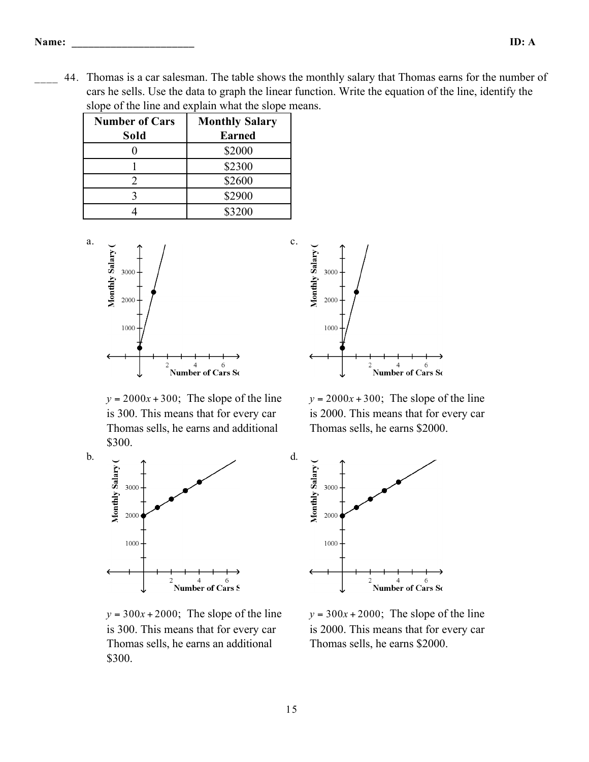\_\_\_\_ 44. Thomas is a car salesman. The table shows the monthly salary that Thomas earns for the number of cars he sells. Use the data to graph the linear function. Write the equation of the line, identify the slope of the line and explain what the slope means.

| <b>Number of Cars</b> | <b>Monthly Salary</b> |
|-----------------------|-----------------------|
| Sold                  | <b>Earned</b>         |
|                       | \$2000                |
|                       | \$2300                |
|                       | \$2600                |
|                       | \$2900                |
|                       | \$3200                |



 $y = 2000x + 300$ ; The slope of the line is 300. This means that for every car Thomas sells, he earns and additional \$300.



b.

 $y = 300x + 2000$ ; The slope of the line is 300. This means that for every car Thomas sells, he earns an additional \$300.



 $y = 2000x + 300$ ; The slope of the line is 2000. This means that for every car Thomas sells, he earns \$2000.



 $y = 300x + 2000$ ; The slope of the line is 2000. This means that for every car Thomas sells, he earns \$2000.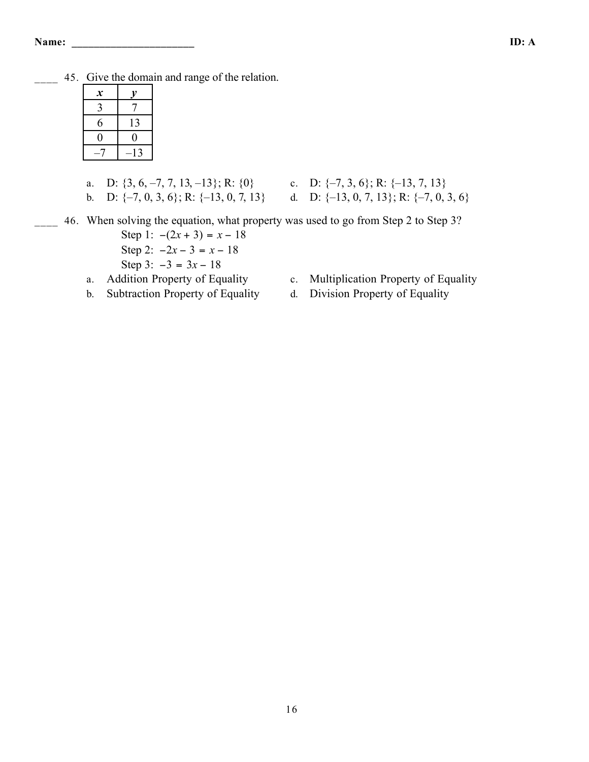\_\_\_\_ 45. Give the domain and range of the relation.

| $\boldsymbol{\mathcal{X}}$ |       |
|----------------------------|-------|
| 3                          |       |
| 6                          | 13    |
| 0                          | 0     |
|                            | $-13$ |

a. D:  $\{3, 6, -7, 7, 13, -13\}$ ; R:  $\{0\}$  c. D:  $\{-7, 3, 6\}$ ; R:  $\{-13, 7, 13\}$ 

- 
- b. D:  $\{-7, 0, 3, 6\}$ ; R:  $\{-13, 0, 7, 13\}$  d. D:  $\{-13, 0, 7, 13\}$ ; R:  $\{-7, 0, 3, 6\}$

46. When solving the equation, what property was used to go from Step 2 to Step 3?

- Step 1:  $-(2x + 3) = x 18$ Step 2:  $-2x - 3 = x - 18$ Step 3:  $-3 = 3x - 18$
- 
- b. Subtraction Property of Equality d. Division Property of Equality
- a. Addition Property of Equality c. Multiplication Property of Equality
	-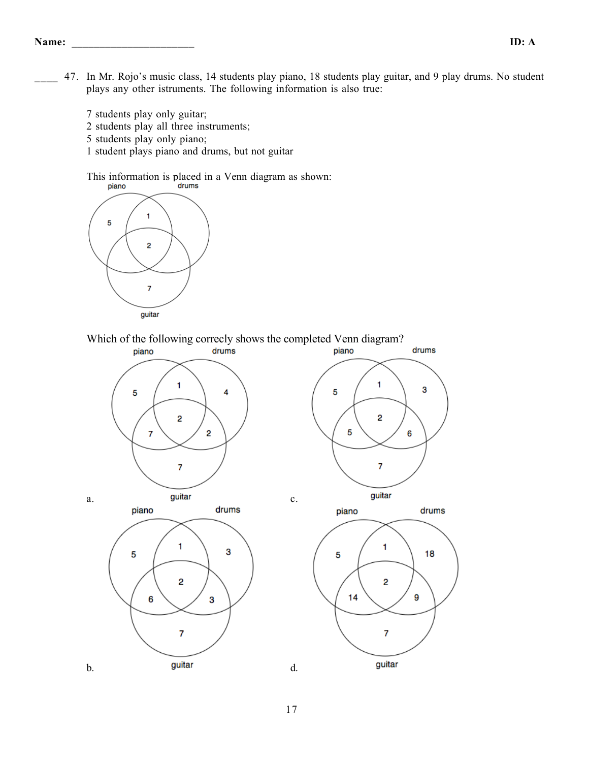- 47. In Mr. Rojo's music class, 14 students play piano, 18 students play guitar, and 9 play drums. No student plays any other istruments. The following information is also true:
	- 7 students play only guitar; 2 students play all three instruments; 5 students play only piano;
	- 1 student plays piano and drums, but not guitar

This information is placed in a Venn diagram as shown:<br>  $\frac{1}{2}$ 



Which of the following correcly shows the completed Venn diagram?<br>
piano<br>
piano

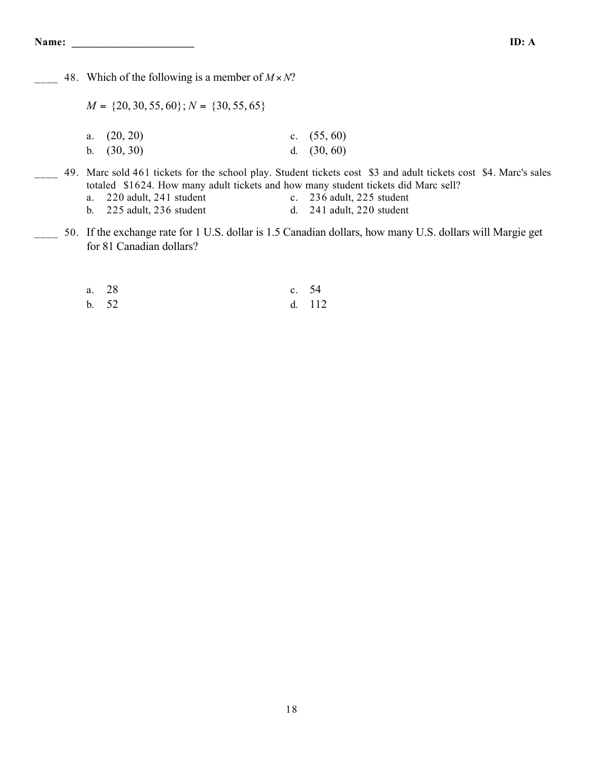48. Which of the following is a member of  $M \times N$ ?

 $M = \{20, 30, 55, 60\}$ ;  $N = \{30, 55, 65\}$ 

| a. $(20, 20)$ | c. $(55, 60)$ |
|---------------|---------------|
| b. $(30, 30)$ | d. $(30, 60)$ |

- \_\_\_\_ 49. Marc sold 461 tickets for the school play. Student tickets cost \$3 and adult tickets cost \$4. Marc's sales totaled \$1624. How many adult tickets and how many student tickets did Marc sell?
	- a. 220 adult, 241 student c. 236 adult, 225 student
	- b. 225 adult, 236 student d. 241 adult, 220 student
- 50. If the exchange rate for 1 U.S. dollar is 1.5 Canadian dollars, how many U.S. dollars will Margie get for 81 Canadian dollars?

| a. 28 | c. 54 |        |
|-------|-------|--------|
| b. 52 |       | d. 112 |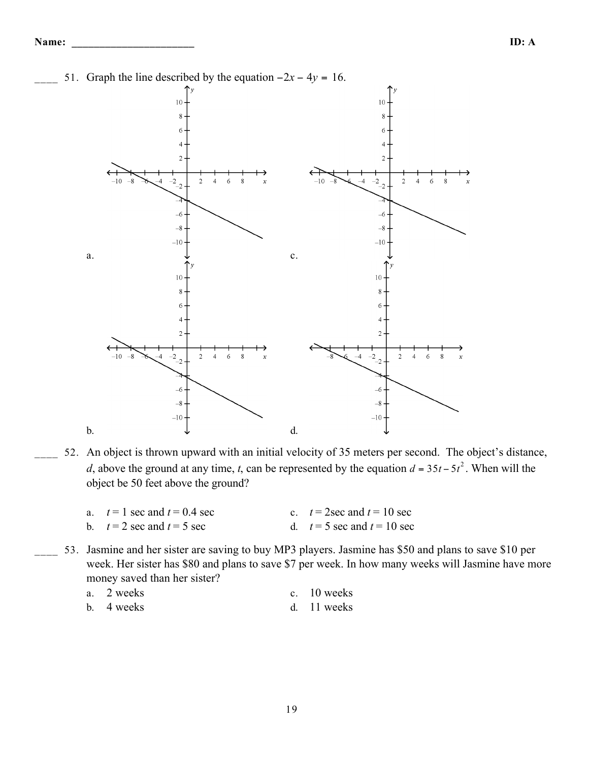

52. An object is thrown upward with an initial velocity of 35 meters per second. The object's distance, *d*, above the ground at any time, *t*, can be represented by the equation  $d = 35t - 5t^2$ . When will the object be 50 feet above the ground?

| a. $t=1$ sec and $t=0.4$ sec            | c. $t = 2$ sec and $t = 10$ sec |
|-----------------------------------------|---------------------------------|
| b. $t = 2 \sec \text{ and } t = 5 \sec$ | d. $t=5$ sec and $t=10$ sec     |

53. Jasmine and her sister are saving to buy MP3 players. Jasmine has \$50 and plans to save \$10 per week. Her sister has \$80 and plans to save \$7 per week. In how many weeks will Jasmine have more money saved than her sister?

| a. 2 weeks |  | c. 10 weeks |  |
|------------|--|-------------|--|
|            |  |             |  |

b. 4 weeks d. 11 weeks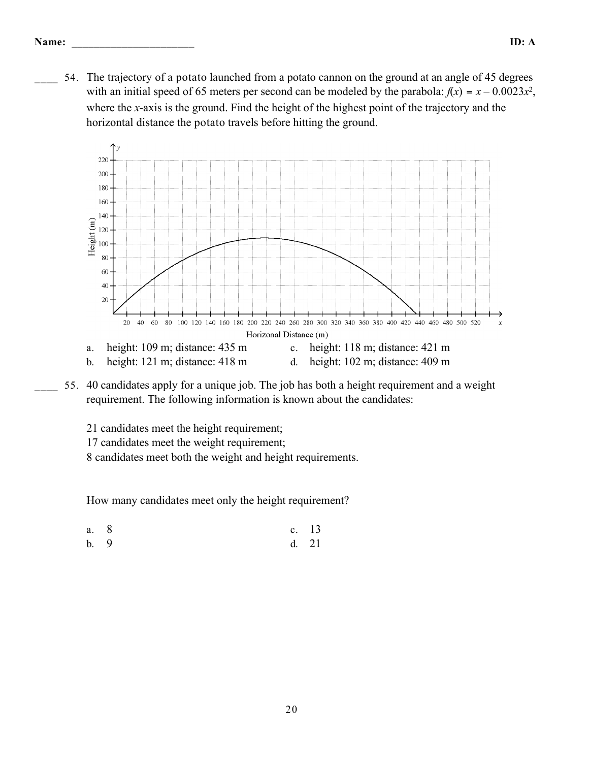54. The trajectory of a potato launched from a potato cannon on the ground at an angle of 45 degrees with an initial speed of 65 meters per second can be modeled by the parabola:  $f(x) = x - 0.0023x^2$ , where the *x*-axis is the ground. Find the height of the highest point of the trajectory and the horizontal distance the potato travels before hitting the ground.



\_\_\_\_ 55. 40 candidates apply for a unique job. The job has both a height requirement and a weight requirement. The following information is known about the candidates:

21 candidates meet the height requirement;

17 candidates meet the weight requirement;

8 candidates meet both the weight and height requirements.

How many candidates meet only the height requirement?

a. 8 c. 13 b. 9 d. 21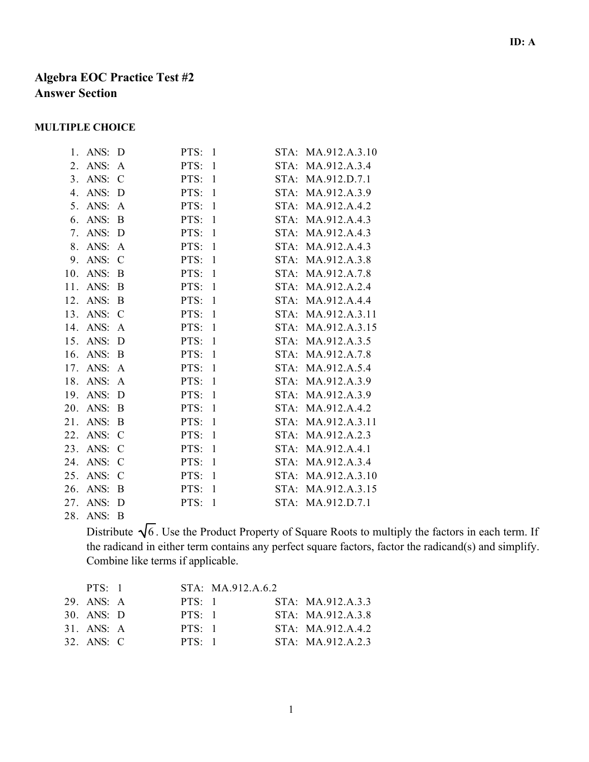# **Algebra EOC Practice Test #2 Answer Section**

#### **MULTIPLE CHOICE**

| 1.             | ANS: | D             | $\mathbf{1}$<br>PTS: | STA:    | MA.912.A.3.10     |
|----------------|------|---------------|----------------------|---------|-------------------|
| 2.             | ANS: | A             | $\mathbf{1}$<br>PTS: | STA:    | MA.912.A.3.4      |
| 3 <sub>1</sub> | ANS: | $\mathcal{C}$ | PTS:<br>$\mathbf{1}$ | STA:    | MA.912.D.7.1      |
| 4.             | ANS: | D             | PTS:<br>$\mathbf{1}$ | STA:    | MA.912.A.3.9      |
| 5.             | ANS: | A             | PTS:<br>1            | STA:    | MA.912.A.4.2      |
| 6.             | ANS: | B             | $\mathbf{1}$<br>PTS: | STA:    | MA.912.A.4.3      |
| 7.             | ANS: | D             | PTS:<br>$\mathbf{1}$ | STA:    | MA.912.A.4.3      |
| 8.             | ANS: | A             | PTS:<br>$\mathbf{1}$ | $STA$ : | MA.912.A.4.3      |
| 9.             | ANS: | $\mathcal{C}$ | PTS:<br>$\mathbf{1}$ | STA:    | MA.912.A.3.8      |
| 10.            | ANS: | B             | $\mathbf{1}$<br>PTS: | STA:    | MA.912.A.7.8      |
| 11.            | ANS: | B             | PTS:<br>$\mathbf{1}$ | STA:    | MA.912.A.2.4      |
| 12.            | ANS: | B             | $\mathbf{1}$<br>PTS: | $STA$ : | MA.912.A.4.4      |
| 13.            | ANS: | $\mathcal{C}$ | PTS:<br>$\mathbf{1}$ | $STA$ : | MA.912.A.3.11     |
| 14.            | ANS: | A             | PTS:<br>$\mathbf{1}$ | STA:    | MA.912.A.3.15     |
| 15.            | ANS: | D             | $\mathbf{1}$<br>PTS: | STA:    | MA.912.A.3.5      |
| 16.            | ANS: | B             | PTS:<br>$\mathbf{1}$ | $STA$ : | MA.912.A.7.8      |
| 17.            | ANS: | A             | PTS:<br>1            | STA:    | MA.912.A.5.4      |
| 18.            | ANS: | A             | PTS:<br>$\mathbf{1}$ | STA:    | MA.912.A.3.9      |
| 19.            | ANS: | D             | $\mathbf{1}$<br>PTS: | STA:    | MA.912.A.3.9      |
| 20.            | ANS: | B             | PTS:<br>1            | STA:    | MA.912.A.4.2      |
| 21.            | ANS: | B             | PTS:<br>$\mathbf{1}$ | $STA$ : | MA.912.A.3.11     |
| 22.            | ANS: | $\mathcal{C}$ | PTS:<br>$\mathbf{1}$ | $STA$ : | MA.912.A.2.3      |
| 23.            | ANS: | $\mathcal{C}$ | PTS:<br>$\mathbf{1}$ | STA:    | MA.912.A.4.1      |
| 24.            | ANS: | C             | PTS:<br>$\mathbf{1}$ | STA:    | MA.912.A.3.4      |
| 25.            | ANS: | $\mathcal{C}$ | $\mathbf{1}$<br>PTS: | STA:    | MA.912.A.3.10     |
| 26.            | ANS: | B             | PTS:<br>$\mathbf{1}$ | STA:    | MA.912.A.3.15     |
| 27.            | ANS: | D             | PTS:<br>$\mathbf{1}$ |         | STA: MA.912.D.7.1 |
|                |      |               |                      |         |                   |

28. ANS: B

Distribute  $\sqrt{6}$ . Use the Product Property of Square Roots to multiply the factors in each term. If the radicand in either term contains any perfect square factors, factor the radicand(s) and simplify. Combine like terms if applicable.

| $PTS \cdot 1$         |           | STA: MA.912.A.6.2 |                   |
|-----------------------|-----------|-------------------|-------------------|
| 29 ANS $\overline{A}$ | $PTS-1$   |                   | STA: MA.912.A.3.3 |
| $30.$ ANS: $D$        | $PTS-1$   |                   | STA: MA.912.A.3.8 |
| $31.$ ANS: A          | $PTS-1$   |                   | STA: MA.912.A.4.2 |
| $32$ ANS C            | $PTS - 1$ |                   | STA: MA.912.A.2.3 |